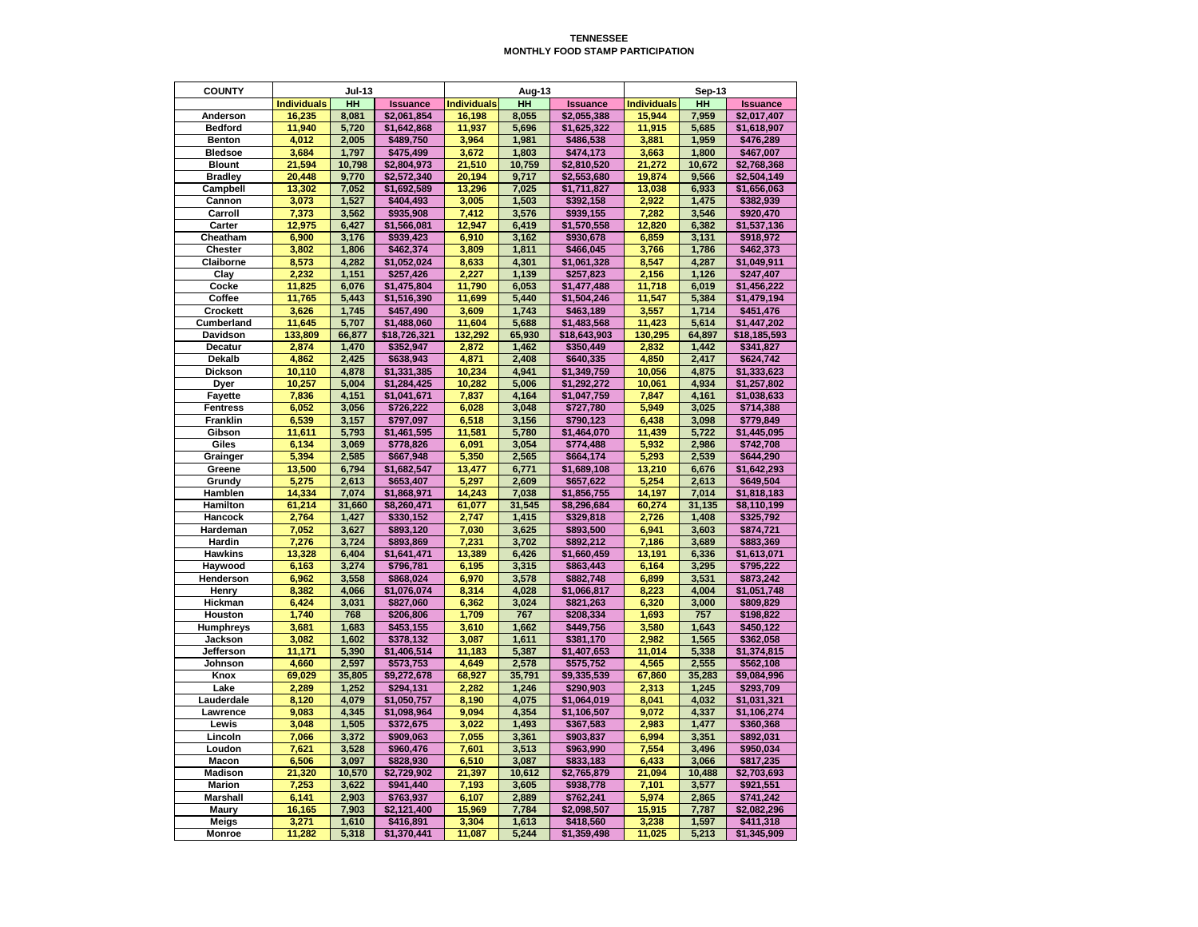## **TENNESSEE MONTHLY FOOD STAMP PARTICIPATION**

| <b>Individuals</b><br>HH<br><b>Individuals</b><br><b>HH</b><br><b>Individuals</b><br>HH<br><b>Issuance</b><br><b>Issuance</b><br><b>Issuance</b><br>8,055<br>7,959<br>16,235<br>8,081<br>\$2,061,854<br>16,198<br>\$2,055,388<br>15,944<br><b>Anderson</b><br>\$2,017,407<br><b>Bedford</b><br>5,720<br>11,937<br>11,940<br>\$1,642,868<br>5,696<br>\$1,625,322<br>11,915<br>5,685<br>\$1,618,907<br>4,012<br>2,005<br>3,964<br>3,881<br><b>Benton</b><br>\$489,750<br>1,981<br>\$486,538<br>1,959<br>\$476,289<br><b>Bledsoe</b><br>1,797<br>3,672<br>1,800<br>3,684<br>\$475,499<br>1,803<br>\$474,173<br>3,663<br>\$467,007<br>21,510<br><b>Blount</b><br>21,594<br>10,798<br>10,759<br>\$2,810,520<br>21,272<br>10,672<br>\$2,804,973<br>\$2,768,368<br>20,448<br>9,770<br>\$2,572,340<br>20,194<br>9,717<br>19,874<br>9,566<br><b>Bradley</b><br>\$2,553,680<br>\$2,504,149<br>7,052<br>7,025<br>6,933<br><b>Campbell</b><br>13,302<br>\$1,692,589<br>13,296<br>\$1,711,827<br>13,038<br>\$1,656,063<br>3,073<br>1,527<br>3,005<br>1,503<br>2,922<br>1,475<br>Cannon<br>\$404,493<br>\$392,158<br>\$382,939<br>7,412<br>Carroll<br>7,373<br>3,562<br>3,576<br>7,282<br>3,546<br>\$935,908<br>\$939,155<br>\$920,470<br>12,975<br>6,427<br>12,947<br>6,419<br>12,820<br>6,382<br><b>Carter</b><br>\$1,566,081<br>\$1,570,558<br>\$1,537,136<br>Cheatham<br>6,900<br>3,176<br>6,910<br>3,162<br>6,859<br>3,131<br>\$939,423<br>\$930,678<br>\$918,972<br><b>Chester</b><br>3,802<br>1,806<br>\$462,374<br>3,809<br>1,811<br>3,766<br>1,786<br>\$466,045<br>\$462,373<br><b>Claiborne</b><br>8,573<br>4,282<br>8,633<br>8,547<br>\$1,052,024<br>4,301<br>\$1,061,328<br>4,287<br>\$1,049,911<br>Clay<br>2,232<br>1,151<br>2,227<br>1,139<br>2,156<br>1,126<br>\$257,426<br>\$257,823<br>\$247,407<br><b>Cocke</b><br>6,076<br>11,790<br>11,718<br>6,019<br>11,825<br>\$1,475,804<br>6,053<br>\$1,456,222<br>\$1,477,488<br>Coffee<br>5,443<br>11,547<br>5,384<br>11,765<br>\$1,516,390<br>11,699<br>5,440<br>\$1,479,194<br>\$1,504,246<br>3,626<br>1,745<br>3,609<br>1,743<br>3,557<br>1,714<br><b>Crockett</b><br>\$457,490<br>\$463,189<br>\$451,476<br>11,645<br>5,707<br>5,688<br>11,423<br>5,614<br><b>Cumberland</b><br>\$1,488,060<br>11,604<br>\$1,483,568<br>\$1,447,202<br>132,292<br><b>Davidson</b><br>133,809<br>66,877<br>\$18,726,321<br>65,930<br>\$18,643,903<br>130,295<br>64,897<br>\$18,185,593<br>2,874<br>1,470<br>1,462<br>2,832<br>1,442<br>\$352,947<br>2,872<br>\$350,449<br>\$341,827<br><b>Decatur</b><br><b>Dekalb</b><br>4,862<br>2,425<br>4,871<br>4,850<br>\$638,943<br>2,408<br>2,417<br>\$624,742<br>\$640,335<br>4,878<br>4,875<br><b>Dickson</b><br>10,110<br>\$1,331,385<br>10,234<br>4,941<br>10,056<br>\$1,333,623<br>\$1,349,759<br>5,004<br><b>Dyer</b><br>10,257<br>\$1,284,425<br>10,282<br>5,006<br>\$1,292,272<br>10,061<br>4,934<br>\$1,257,802<br>7,837<br>7,847<br><b>Fayette</b><br>7,836<br>4,151<br>4,164<br>\$1,047,759<br>4,161<br>\$1,038,633<br>\$1,041,671<br>6,052<br>3,056<br>6,028<br>3,048<br>5,949<br>3,025<br><b>Fentress</b><br>\$726,222<br>\$727,780<br>\$714,388<br><b>Franklin</b><br>6,539<br>3,157<br>6,518<br>6,438<br>3,098<br>\$797,097<br>3,156<br>\$790,123<br>\$779,849<br>11,611<br>5,793<br>11,581<br>5,722<br>Gibson<br>\$1,461,595<br>5,780<br>\$1,464,070<br>11,439<br>\$1,445,095<br><b>Giles</b><br>6,134<br>3,069<br>3,054<br>5,932<br>2,986<br>\$778,826<br>6,091<br>\$774,488<br>\$742,708<br>5,394<br>2,585<br>5,350<br>2,565<br>5,293<br>2,539<br>\$667,948<br>\$664,174<br>\$644,290<br>Grainger<br>13,500<br>6,794<br>13,477<br>6,771<br>13,210<br>6,676<br>Greene<br>\$1,682,547<br>\$1,689,108<br>\$1,642,293<br>5,275<br>5,254<br>Grundy<br>2,613<br>\$653,407<br>5,297<br>2,609<br>\$657,622<br>2,613<br>\$649,504<br>Hamblen<br>14,334<br>7,074<br>\$1,868,971<br>14,243<br>7,038<br>14,197<br>7,014<br>\$1,856,755<br>\$1,818,183<br>61,214<br>31,545<br>Hamilton<br>31,660<br>\$8,260,471<br>61,077<br>\$8,296,684<br>60,274<br>31,135<br>\$8,110,199<br><b>Hancock</b><br>2,764<br>1,427<br>\$330,152<br>2,747<br>1,415<br>\$329,818<br>2,726<br>1,408<br>\$325,792<br>3,627<br>Hardeman<br>7,052<br>\$893,120<br>7,030<br>3,625<br>\$893,500<br>6,941<br>3,603<br>\$874,721<br>7,276<br>3,724<br>7,231<br>7,186<br>3,689<br>Hardin<br>3,702<br>\$892,212<br>\$893,869<br>\$883,369<br>13,328<br>13,191<br>6,336<br><b>Hawkins</b><br>6,404<br>\$1,641,471<br>13,389<br>6,426<br>\$1,613,071<br>\$1,660,459<br>6,163<br>3,274<br>3,315<br>3,295<br>\$796,781<br>6,195<br>\$863,443<br>6,164<br>Haywood<br>\$795,222<br>6,962<br>3,558<br>3,578<br>3,531<br>Henderson<br>\$868,024<br>6,970<br>\$882,748<br>6,899<br>\$873,242<br>8,382<br>8,314<br>4,066<br>\$1,076,074<br>4,028<br>8,223<br>4,004<br>\$1,051,748<br><b>Henry</b><br>\$1,066,817<br>6,424<br>3,031<br>6,362<br>Hickman<br>\$827,060<br>3,024<br>6,320<br>3,000<br>\$821,263<br>\$809,829<br>1,740<br>768<br>767<br>757<br>Houston<br>\$206,806<br>1,709<br>\$208,334<br>1,693<br>\$198,822<br>3,681<br>1,683<br>3,610<br>1,662<br>3,580<br>1,643<br><b>Humphreys</b><br>\$453,155<br>\$449,756<br>\$450,122<br>1,565<br><b>Jackson</b><br>3,082<br>1,602<br>\$378,132<br>3,087<br>1,611<br>\$381,170<br>2,982<br>\$362,058<br><b>Jefferson</b><br>5,390<br>11,014<br>11,171<br>\$1,406,514<br>11,183<br>5,387<br>5,338<br>\$1,407,653<br>\$1,374,815<br>2,597<br>2,555<br>4,660<br>\$573,753<br>4,649<br>2,578<br>\$575,752<br>4,565<br>Johnson<br>\$562,108<br>35,283<br>Knox<br>69,029<br>35,805<br>\$9,272,678<br>68,927<br>35,791<br>67,860<br>\$9,084,996<br>\$9,335,539<br>Lake<br>2,289<br>1,252<br>\$294,131<br>2,282<br>2,313<br>1,245<br>1,246<br>\$290,903<br>\$293,709<br>4,032<br>Lauderdale<br>8,120<br>4,079<br>\$1,050,757<br>8,190<br>4,075<br>\$1,064,019<br>8,041<br>\$1,031,321<br>4,345<br>4,354<br>4,337<br>9,083<br>\$1,098,964<br>9,094<br>\$1,106,507<br>9,072<br>\$1,106,274<br><b>Lawrence</b><br>1,505<br>Lewis<br>3,048<br>\$372,675<br>3,022<br>1,493<br>2,983<br>1,477<br>\$360,368<br>\$367,583<br>3,372<br>7,055<br>Lincoln<br>7,066<br>3,361<br>6,994<br>3,351<br>\$909,063<br>\$903,837<br>\$892,031<br>7,601<br>7,554<br>Loudon<br>7,621<br>3,528<br>3,513<br>\$960,476<br>3,496<br>\$950,034<br>\$963,990<br>6,506<br>6,510<br>3,097<br>3,087<br>6,433<br>3,066<br>\$817,235<br><b>Macon</b><br>\$828,930<br>\$833,183<br><b>Madison</b><br>21,320<br>10,570<br>\$2,729,902<br>21,397<br>10,612<br>21,094<br>10,488<br>\$2,703,693<br>\$2,765,879<br><b>Marion</b><br>3,622<br>7,253<br>7,193<br>3,605<br>7,101<br>3,577<br>\$941,440<br>\$938,778<br>\$921,551<br><b>Marshall</b><br>6,141<br>5,974<br>2,903<br>\$763,937<br>6,107<br>2,889<br>\$762,241<br>2,865<br>\$741,242<br>7,787<br>16,165<br>7,903<br>15,969<br>7,784<br>15,915<br><b>Maury</b><br>\$2,121,400<br>\$2,098,507<br>\$2,082,296<br>3,271<br>1,610<br>3,304<br>3,238<br>1,597<br>\$416,891<br>1,613<br>\$418,560<br>\$411,318<br><b>Meigs</b><br>5,318<br>\$1,370,441<br>11,087<br>5,244<br>\$1,359,498<br>5,213<br>\$1,345,909<br><b>Monroe</b><br>11,282<br>11,025 | <b>COUNTY</b> | $Jul-13$ |  |  | <b>Aug-13</b> |  |  | <b>Sep-13</b> |  |  |
|----------------------------------------------------------------------------------------------------------------------------------------------------------------------------------------------------------------------------------------------------------------------------------------------------------------------------------------------------------------------------------------------------------------------------------------------------------------------------------------------------------------------------------------------------------------------------------------------------------------------------------------------------------------------------------------------------------------------------------------------------------------------------------------------------------------------------------------------------------------------------------------------------------------------------------------------------------------------------------------------------------------------------------------------------------------------------------------------------------------------------------------------------------------------------------------------------------------------------------------------------------------------------------------------------------------------------------------------------------------------------------------------------------------------------------------------------------------------------------------------------------------------------------------------------------------------------------------------------------------------------------------------------------------------------------------------------------------------------------------------------------------------------------------------------------------------------------------------------------------------------------------------------------------------------------------------------------------------------------------------------------------------------------------------------------------------------------------------------------------------------------------------------------------------------------------------------------------------------------------------------------------------------------------------------------------------------------------------------------------------------------------------------------------------------------------------------------------------------------------------------------------------------------------------------------------------------------------------------------------------------------------------------------------------------------------------------------------------------------------------------------------------------------------------------------------------------------------------------------------------------------------------------------------------------------------------------------------------------------------------------------------------------------------------------------------------------------------------------------------------------------------------------------------------------------------------------------------------------------------------------------------------------------------------------------------------------------------------------------------------------------------------------------------------------------------------------------------------------------------------------------------------------------------------------------------------------------------------------------------------------------------------------------------------------------------------------------------------------------------------------------------------------------------------------------------------------------------------------------------------------------------------------------------------------------------------------------------------------------------------------------------------------------------------------------------------------------------------------------------------------------------------------------------------------------------------------------------------------------------------------------------------------------------------------------------------------------------------------------------------------------------------------------------------------------------------------------------------------------------------------------------------------------------------------------------------------------------------------------------------------------------------------------------------------------------------------------------------------------------------------------------------------------------------------------------------------------------------------------------------------------------------------------------------------------------------------------------------------------------------------------------------------------------------------------------------------------------------------------------------------------------------------------------------------------------------------------------------------------------------------------------------------------------------------------------------------------------------------------------------------------------------------------------------------------------------------------------------------------------------------------------------------------------------------------------------------------------------------------------------------------------------------------------------------------------------------------------------------------------------------------------------------------------------------------------------------------------------------------------------------------------------------------------------------------------------------------------------------------------------------------------------------------------------------------------------------------------------------------------------------------------------------------------------------------------------------------------------------------------------------------------------------------------------------------------------------------------------------------------------------------------------------------------------------------------------------------------------------------------------------------------------------------------------------------------------------------------------------------------------------------------------------------------------------------------------------------------------------------------------------------------------------------------------------------------------------------------------------------------------------------------------------------------------------------------------------------------------------------------------------------------------------------------------------------------------------------------------------------------------------------------------------|---------------|----------|--|--|---------------|--|--|---------------|--|--|
|                                                                                                                                                                                                                                                                                                                                                                                                                                                                                                                                                                                                                                                                                                                                                                                                                                                                                                                                                                                                                                                                                                                                                                                                                                                                                                                                                                                                                                                                                                                                                                                                                                                                                                                                                                                                                                                                                                                                                                                                                                                                                                                                                                                                                                                                                                                                                                                                                                                                                                                                                                                                                                                                                                                                                                                                                                                                                                                                                                                                                                                                                                                                                                                                                                                                                                                                                                                                                                                                                                                                                                                                                                                                                                                                                                                                                                                                                                                                                                                                                                                                                                                                                                                                                                                                                                                                                                                                                                                                                                                                                                                                                                                                                                                                                                                                                                                                                                                                                                                                                                                                                                                                                                                                                                                                                                                                                                                                                                                                                                                                                                                                                                                                                                                                                                                                                                                                                                                                                                                                                                                                                                                                                                                                                                                                                                                                                                                                                                                                                                                                                                                                                                                                                                                                                                                                                                                                                                                                                                                                                                                                                                                                                    |               |          |  |  |               |  |  |               |  |  |
|                                                                                                                                                                                                                                                                                                                                                                                                                                                                                                                                                                                                                                                                                                                                                                                                                                                                                                                                                                                                                                                                                                                                                                                                                                                                                                                                                                                                                                                                                                                                                                                                                                                                                                                                                                                                                                                                                                                                                                                                                                                                                                                                                                                                                                                                                                                                                                                                                                                                                                                                                                                                                                                                                                                                                                                                                                                                                                                                                                                                                                                                                                                                                                                                                                                                                                                                                                                                                                                                                                                                                                                                                                                                                                                                                                                                                                                                                                                                                                                                                                                                                                                                                                                                                                                                                                                                                                                                                                                                                                                                                                                                                                                                                                                                                                                                                                                                                                                                                                                                                                                                                                                                                                                                                                                                                                                                                                                                                                                                                                                                                                                                                                                                                                                                                                                                                                                                                                                                                                                                                                                                                                                                                                                                                                                                                                                                                                                                                                                                                                                                                                                                                                                                                                                                                                                                                                                                                                                                                                                                                                                                                                                                                    |               |          |  |  |               |  |  |               |  |  |
|                                                                                                                                                                                                                                                                                                                                                                                                                                                                                                                                                                                                                                                                                                                                                                                                                                                                                                                                                                                                                                                                                                                                                                                                                                                                                                                                                                                                                                                                                                                                                                                                                                                                                                                                                                                                                                                                                                                                                                                                                                                                                                                                                                                                                                                                                                                                                                                                                                                                                                                                                                                                                                                                                                                                                                                                                                                                                                                                                                                                                                                                                                                                                                                                                                                                                                                                                                                                                                                                                                                                                                                                                                                                                                                                                                                                                                                                                                                                                                                                                                                                                                                                                                                                                                                                                                                                                                                                                                                                                                                                                                                                                                                                                                                                                                                                                                                                                                                                                                                                                                                                                                                                                                                                                                                                                                                                                                                                                                                                                                                                                                                                                                                                                                                                                                                                                                                                                                                                                                                                                                                                                                                                                                                                                                                                                                                                                                                                                                                                                                                                                                                                                                                                                                                                                                                                                                                                                                                                                                                                                                                                                                                                                    |               |          |  |  |               |  |  |               |  |  |
|                                                                                                                                                                                                                                                                                                                                                                                                                                                                                                                                                                                                                                                                                                                                                                                                                                                                                                                                                                                                                                                                                                                                                                                                                                                                                                                                                                                                                                                                                                                                                                                                                                                                                                                                                                                                                                                                                                                                                                                                                                                                                                                                                                                                                                                                                                                                                                                                                                                                                                                                                                                                                                                                                                                                                                                                                                                                                                                                                                                                                                                                                                                                                                                                                                                                                                                                                                                                                                                                                                                                                                                                                                                                                                                                                                                                                                                                                                                                                                                                                                                                                                                                                                                                                                                                                                                                                                                                                                                                                                                                                                                                                                                                                                                                                                                                                                                                                                                                                                                                                                                                                                                                                                                                                                                                                                                                                                                                                                                                                                                                                                                                                                                                                                                                                                                                                                                                                                                                                                                                                                                                                                                                                                                                                                                                                                                                                                                                                                                                                                                                                                                                                                                                                                                                                                                                                                                                                                                                                                                                                                                                                                                                                    |               |          |  |  |               |  |  |               |  |  |
|                                                                                                                                                                                                                                                                                                                                                                                                                                                                                                                                                                                                                                                                                                                                                                                                                                                                                                                                                                                                                                                                                                                                                                                                                                                                                                                                                                                                                                                                                                                                                                                                                                                                                                                                                                                                                                                                                                                                                                                                                                                                                                                                                                                                                                                                                                                                                                                                                                                                                                                                                                                                                                                                                                                                                                                                                                                                                                                                                                                                                                                                                                                                                                                                                                                                                                                                                                                                                                                                                                                                                                                                                                                                                                                                                                                                                                                                                                                                                                                                                                                                                                                                                                                                                                                                                                                                                                                                                                                                                                                                                                                                                                                                                                                                                                                                                                                                                                                                                                                                                                                                                                                                                                                                                                                                                                                                                                                                                                                                                                                                                                                                                                                                                                                                                                                                                                                                                                                                                                                                                                                                                                                                                                                                                                                                                                                                                                                                                                                                                                                                                                                                                                                                                                                                                                                                                                                                                                                                                                                                                                                                                                                                                    |               |          |  |  |               |  |  |               |  |  |
|                                                                                                                                                                                                                                                                                                                                                                                                                                                                                                                                                                                                                                                                                                                                                                                                                                                                                                                                                                                                                                                                                                                                                                                                                                                                                                                                                                                                                                                                                                                                                                                                                                                                                                                                                                                                                                                                                                                                                                                                                                                                                                                                                                                                                                                                                                                                                                                                                                                                                                                                                                                                                                                                                                                                                                                                                                                                                                                                                                                                                                                                                                                                                                                                                                                                                                                                                                                                                                                                                                                                                                                                                                                                                                                                                                                                                                                                                                                                                                                                                                                                                                                                                                                                                                                                                                                                                                                                                                                                                                                                                                                                                                                                                                                                                                                                                                                                                                                                                                                                                                                                                                                                                                                                                                                                                                                                                                                                                                                                                                                                                                                                                                                                                                                                                                                                                                                                                                                                                                                                                                                                                                                                                                                                                                                                                                                                                                                                                                                                                                                                                                                                                                                                                                                                                                                                                                                                                                                                                                                                                                                                                                                                                    |               |          |  |  |               |  |  |               |  |  |
|                                                                                                                                                                                                                                                                                                                                                                                                                                                                                                                                                                                                                                                                                                                                                                                                                                                                                                                                                                                                                                                                                                                                                                                                                                                                                                                                                                                                                                                                                                                                                                                                                                                                                                                                                                                                                                                                                                                                                                                                                                                                                                                                                                                                                                                                                                                                                                                                                                                                                                                                                                                                                                                                                                                                                                                                                                                                                                                                                                                                                                                                                                                                                                                                                                                                                                                                                                                                                                                                                                                                                                                                                                                                                                                                                                                                                                                                                                                                                                                                                                                                                                                                                                                                                                                                                                                                                                                                                                                                                                                                                                                                                                                                                                                                                                                                                                                                                                                                                                                                                                                                                                                                                                                                                                                                                                                                                                                                                                                                                                                                                                                                                                                                                                                                                                                                                                                                                                                                                                                                                                                                                                                                                                                                                                                                                                                                                                                                                                                                                                                                                                                                                                                                                                                                                                                                                                                                                                                                                                                                                                                                                                                                                    |               |          |  |  |               |  |  |               |  |  |
|                                                                                                                                                                                                                                                                                                                                                                                                                                                                                                                                                                                                                                                                                                                                                                                                                                                                                                                                                                                                                                                                                                                                                                                                                                                                                                                                                                                                                                                                                                                                                                                                                                                                                                                                                                                                                                                                                                                                                                                                                                                                                                                                                                                                                                                                                                                                                                                                                                                                                                                                                                                                                                                                                                                                                                                                                                                                                                                                                                                                                                                                                                                                                                                                                                                                                                                                                                                                                                                                                                                                                                                                                                                                                                                                                                                                                                                                                                                                                                                                                                                                                                                                                                                                                                                                                                                                                                                                                                                                                                                                                                                                                                                                                                                                                                                                                                                                                                                                                                                                                                                                                                                                                                                                                                                                                                                                                                                                                                                                                                                                                                                                                                                                                                                                                                                                                                                                                                                                                                                                                                                                                                                                                                                                                                                                                                                                                                                                                                                                                                                                                                                                                                                                                                                                                                                                                                                                                                                                                                                                                                                                                                                                                    |               |          |  |  |               |  |  |               |  |  |
|                                                                                                                                                                                                                                                                                                                                                                                                                                                                                                                                                                                                                                                                                                                                                                                                                                                                                                                                                                                                                                                                                                                                                                                                                                                                                                                                                                                                                                                                                                                                                                                                                                                                                                                                                                                                                                                                                                                                                                                                                                                                                                                                                                                                                                                                                                                                                                                                                                                                                                                                                                                                                                                                                                                                                                                                                                                                                                                                                                                                                                                                                                                                                                                                                                                                                                                                                                                                                                                                                                                                                                                                                                                                                                                                                                                                                                                                                                                                                                                                                                                                                                                                                                                                                                                                                                                                                                                                                                                                                                                                                                                                                                                                                                                                                                                                                                                                                                                                                                                                                                                                                                                                                                                                                                                                                                                                                                                                                                                                                                                                                                                                                                                                                                                                                                                                                                                                                                                                                                                                                                                                                                                                                                                                                                                                                                                                                                                                                                                                                                                                                                                                                                                                                                                                                                                                                                                                                                                                                                                                                                                                                                                                                    |               |          |  |  |               |  |  |               |  |  |
|                                                                                                                                                                                                                                                                                                                                                                                                                                                                                                                                                                                                                                                                                                                                                                                                                                                                                                                                                                                                                                                                                                                                                                                                                                                                                                                                                                                                                                                                                                                                                                                                                                                                                                                                                                                                                                                                                                                                                                                                                                                                                                                                                                                                                                                                                                                                                                                                                                                                                                                                                                                                                                                                                                                                                                                                                                                                                                                                                                                                                                                                                                                                                                                                                                                                                                                                                                                                                                                                                                                                                                                                                                                                                                                                                                                                                                                                                                                                                                                                                                                                                                                                                                                                                                                                                                                                                                                                                                                                                                                                                                                                                                                                                                                                                                                                                                                                                                                                                                                                                                                                                                                                                                                                                                                                                                                                                                                                                                                                                                                                                                                                                                                                                                                                                                                                                                                                                                                                                                                                                                                                                                                                                                                                                                                                                                                                                                                                                                                                                                                                                                                                                                                                                                                                                                                                                                                                                                                                                                                                                                                                                                                                                    |               |          |  |  |               |  |  |               |  |  |
|                                                                                                                                                                                                                                                                                                                                                                                                                                                                                                                                                                                                                                                                                                                                                                                                                                                                                                                                                                                                                                                                                                                                                                                                                                                                                                                                                                                                                                                                                                                                                                                                                                                                                                                                                                                                                                                                                                                                                                                                                                                                                                                                                                                                                                                                                                                                                                                                                                                                                                                                                                                                                                                                                                                                                                                                                                                                                                                                                                                                                                                                                                                                                                                                                                                                                                                                                                                                                                                                                                                                                                                                                                                                                                                                                                                                                                                                                                                                                                                                                                                                                                                                                                                                                                                                                                                                                                                                                                                                                                                                                                                                                                                                                                                                                                                                                                                                                                                                                                                                                                                                                                                                                                                                                                                                                                                                                                                                                                                                                                                                                                                                                                                                                                                                                                                                                                                                                                                                                                                                                                                                                                                                                                                                                                                                                                                                                                                                                                                                                                                                                                                                                                                                                                                                                                                                                                                                                                                                                                                                                                                                                                                                                    |               |          |  |  |               |  |  |               |  |  |
|                                                                                                                                                                                                                                                                                                                                                                                                                                                                                                                                                                                                                                                                                                                                                                                                                                                                                                                                                                                                                                                                                                                                                                                                                                                                                                                                                                                                                                                                                                                                                                                                                                                                                                                                                                                                                                                                                                                                                                                                                                                                                                                                                                                                                                                                                                                                                                                                                                                                                                                                                                                                                                                                                                                                                                                                                                                                                                                                                                                                                                                                                                                                                                                                                                                                                                                                                                                                                                                                                                                                                                                                                                                                                                                                                                                                                                                                                                                                                                                                                                                                                                                                                                                                                                                                                                                                                                                                                                                                                                                                                                                                                                                                                                                                                                                                                                                                                                                                                                                                                                                                                                                                                                                                                                                                                                                                                                                                                                                                                                                                                                                                                                                                                                                                                                                                                                                                                                                                                                                                                                                                                                                                                                                                                                                                                                                                                                                                                                                                                                                                                                                                                                                                                                                                                                                                                                                                                                                                                                                                                                                                                                                                                    |               |          |  |  |               |  |  |               |  |  |
|                                                                                                                                                                                                                                                                                                                                                                                                                                                                                                                                                                                                                                                                                                                                                                                                                                                                                                                                                                                                                                                                                                                                                                                                                                                                                                                                                                                                                                                                                                                                                                                                                                                                                                                                                                                                                                                                                                                                                                                                                                                                                                                                                                                                                                                                                                                                                                                                                                                                                                                                                                                                                                                                                                                                                                                                                                                                                                                                                                                                                                                                                                                                                                                                                                                                                                                                                                                                                                                                                                                                                                                                                                                                                                                                                                                                                                                                                                                                                                                                                                                                                                                                                                                                                                                                                                                                                                                                                                                                                                                                                                                                                                                                                                                                                                                                                                                                                                                                                                                                                                                                                                                                                                                                                                                                                                                                                                                                                                                                                                                                                                                                                                                                                                                                                                                                                                                                                                                                                                                                                                                                                                                                                                                                                                                                                                                                                                                                                                                                                                                                                                                                                                                                                                                                                                                                                                                                                                                                                                                                                                                                                                                                                    |               |          |  |  |               |  |  |               |  |  |
|                                                                                                                                                                                                                                                                                                                                                                                                                                                                                                                                                                                                                                                                                                                                                                                                                                                                                                                                                                                                                                                                                                                                                                                                                                                                                                                                                                                                                                                                                                                                                                                                                                                                                                                                                                                                                                                                                                                                                                                                                                                                                                                                                                                                                                                                                                                                                                                                                                                                                                                                                                                                                                                                                                                                                                                                                                                                                                                                                                                                                                                                                                                                                                                                                                                                                                                                                                                                                                                                                                                                                                                                                                                                                                                                                                                                                                                                                                                                                                                                                                                                                                                                                                                                                                                                                                                                                                                                                                                                                                                                                                                                                                                                                                                                                                                                                                                                                                                                                                                                                                                                                                                                                                                                                                                                                                                                                                                                                                                                                                                                                                                                                                                                                                                                                                                                                                                                                                                                                                                                                                                                                                                                                                                                                                                                                                                                                                                                                                                                                                                                                                                                                                                                                                                                                                                                                                                                                                                                                                                                                                                                                                                                                    |               |          |  |  |               |  |  |               |  |  |
|                                                                                                                                                                                                                                                                                                                                                                                                                                                                                                                                                                                                                                                                                                                                                                                                                                                                                                                                                                                                                                                                                                                                                                                                                                                                                                                                                                                                                                                                                                                                                                                                                                                                                                                                                                                                                                                                                                                                                                                                                                                                                                                                                                                                                                                                                                                                                                                                                                                                                                                                                                                                                                                                                                                                                                                                                                                                                                                                                                                                                                                                                                                                                                                                                                                                                                                                                                                                                                                                                                                                                                                                                                                                                                                                                                                                                                                                                                                                                                                                                                                                                                                                                                                                                                                                                                                                                                                                                                                                                                                                                                                                                                                                                                                                                                                                                                                                                                                                                                                                                                                                                                                                                                                                                                                                                                                                                                                                                                                                                                                                                                                                                                                                                                                                                                                                                                                                                                                                                                                                                                                                                                                                                                                                                                                                                                                                                                                                                                                                                                                                                                                                                                                                                                                                                                                                                                                                                                                                                                                                                                                                                                                                                    |               |          |  |  |               |  |  |               |  |  |
|                                                                                                                                                                                                                                                                                                                                                                                                                                                                                                                                                                                                                                                                                                                                                                                                                                                                                                                                                                                                                                                                                                                                                                                                                                                                                                                                                                                                                                                                                                                                                                                                                                                                                                                                                                                                                                                                                                                                                                                                                                                                                                                                                                                                                                                                                                                                                                                                                                                                                                                                                                                                                                                                                                                                                                                                                                                                                                                                                                                                                                                                                                                                                                                                                                                                                                                                                                                                                                                                                                                                                                                                                                                                                                                                                                                                                                                                                                                                                                                                                                                                                                                                                                                                                                                                                                                                                                                                                                                                                                                                                                                                                                                                                                                                                                                                                                                                                                                                                                                                                                                                                                                                                                                                                                                                                                                                                                                                                                                                                                                                                                                                                                                                                                                                                                                                                                                                                                                                                                                                                                                                                                                                                                                                                                                                                                                                                                                                                                                                                                                                                                                                                                                                                                                                                                                                                                                                                                                                                                                                                                                                                                                                                    |               |          |  |  |               |  |  |               |  |  |
|                                                                                                                                                                                                                                                                                                                                                                                                                                                                                                                                                                                                                                                                                                                                                                                                                                                                                                                                                                                                                                                                                                                                                                                                                                                                                                                                                                                                                                                                                                                                                                                                                                                                                                                                                                                                                                                                                                                                                                                                                                                                                                                                                                                                                                                                                                                                                                                                                                                                                                                                                                                                                                                                                                                                                                                                                                                                                                                                                                                                                                                                                                                                                                                                                                                                                                                                                                                                                                                                                                                                                                                                                                                                                                                                                                                                                                                                                                                                                                                                                                                                                                                                                                                                                                                                                                                                                                                                                                                                                                                                                                                                                                                                                                                                                                                                                                                                                                                                                                                                                                                                                                                                                                                                                                                                                                                                                                                                                                                                                                                                                                                                                                                                                                                                                                                                                                                                                                                                                                                                                                                                                                                                                                                                                                                                                                                                                                                                                                                                                                                                                                                                                                                                                                                                                                                                                                                                                                                                                                                                                                                                                                                                                    |               |          |  |  |               |  |  |               |  |  |
|                                                                                                                                                                                                                                                                                                                                                                                                                                                                                                                                                                                                                                                                                                                                                                                                                                                                                                                                                                                                                                                                                                                                                                                                                                                                                                                                                                                                                                                                                                                                                                                                                                                                                                                                                                                                                                                                                                                                                                                                                                                                                                                                                                                                                                                                                                                                                                                                                                                                                                                                                                                                                                                                                                                                                                                                                                                                                                                                                                                                                                                                                                                                                                                                                                                                                                                                                                                                                                                                                                                                                                                                                                                                                                                                                                                                                                                                                                                                                                                                                                                                                                                                                                                                                                                                                                                                                                                                                                                                                                                                                                                                                                                                                                                                                                                                                                                                                                                                                                                                                                                                                                                                                                                                                                                                                                                                                                                                                                                                                                                                                                                                                                                                                                                                                                                                                                                                                                                                                                                                                                                                                                                                                                                                                                                                                                                                                                                                                                                                                                                                                                                                                                                                                                                                                                                                                                                                                                                                                                                                                                                                                                                                                    |               |          |  |  |               |  |  |               |  |  |
|                                                                                                                                                                                                                                                                                                                                                                                                                                                                                                                                                                                                                                                                                                                                                                                                                                                                                                                                                                                                                                                                                                                                                                                                                                                                                                                                                                                                                                                                                                                                                                                                                                                                                                                                                                                                                                                                                                                                                                                                                                                                                                                                                                                                                                                                                                                                                                                                                                                                                                                                                                                                                                                                                                                                                                                                                                                                                                                                                                                                                                                                                                                                                                                                                                                                                                                                                                                                                                                                                                                                                                                                                                                                                                                                                                                                                                                                                                                                                                                                                                                                                                                                                                                                                                                                                                                                                                                                                                                                                                                                                                                                                                                                                                                                                                                                                                                                                                                                                                                                                                                                                                                                                                                                                                                                                                                                                                                                                                                                                                                                                                                                                                                                                                                                                                                                                                                                                                                                                                                                                                                                                                                                                                                                                                                                                                                                                                                                                                                                                                                                                                                                                                                                                                                                                                                                                                                                                                                                                                                                                                                                                                                                                    |               |          |  |  |               |  |  |               |  |  |
|                                                                                                                                                                                                                                                                                                                                                                                                                                                                                                                                                                                                                                                                                                                                                                                                                                                                                                                                                                                                                                                                                                                                                                                                                                                                                                                                                                                                                                                                                                                                                                                                                                                                                                                                                                                                                                                                                                                                                                                                                                                                                                                                                                                                                                                                                                                                                                                                                                                                                                                                                                                                                                                                                                                                                                                                                                                                                                                                                                                                                                                                                                                                                                                                                                                                                                                                                                                                                                                                                                                                                                                                                                                                                                                                                                                                                                                                                                                                                                                                                                                                                                                                                                                                                                                                                                                                                                                                                                                                                                                                                                                                                                                                                                                                                                                                                                                                                                                                                                                                                                                                                                                                                                                                                                                                                                                                                                                                                                                                                                                                                                                                                                                                                                                                                                                                                                                                                                                                                                                                                                                                                                                                                                                                                                                                                                                                                                                                                                                                                                                                                                                                                                                                                                                                                                                                                                                                                                                                                                                                                                                                                                                                                    |               |          |  |  |               |  |  |               |  |  |
|                                                                                                                                                                                                                                                                                                                                                                                                                                                                                                                                                                                                                                                                                                                                                                                                                                                                                                                                                                                                                                                                                                                                                                                                                                                                                                                                                                                                                                                                                                                                                                                                                                                                                                                                                                                                                                                                                                                                                                                                                                                                                                                                                                                                                                                                                                                                                                                                                                                                                                                                                                                                                                                                                                                                                                                                                                                                                                                                                                                                                                                                                                                                                                                                                                                                                                                                                                                                                                                                                                                                                                                                                                                                                                                                                                                                                                                                                                                                                                                                                                                                                                                                                                                                                                                                                                                                                                                                                                                                                                                                                                                                                                                                                                                                                                                                                                                                                                                                                                                                                                                                                                                                                                                                                                                                                                                                                                                                                                                                                                                                                                                                                                                                                                                                                                                                                                                                                                                                                                                                                                                                                                                                                                                                                                                                                                                                                                                                                                                                                                                                                                                                                                                                                                                                                                                                                                                                                                                                                                                                                                                                                                                                                    |               |          |  |  |               |  |  |               |  |  |
|                                                                                                                                                                                                                                                                                                                                                                                                                                                                                                                                                                                                                                                                                                                                                                                                                                                                                                                                                                                                                                                                                                                                                                                                                                                                                                                                                                                                                                                                                                                                                                                                                                                                                                                                                                                                                                                                                                                                                                                                                                                                                                                                                                                                                                                                                                                                                                                                                                                                                                                                                                                                                                                                                                                                                                                                                                                                                                                                                                                                                                                                                                                                                                                                                                                                                                                                                                                                                                                                                                                                                                                                                                                                                                                                                                                                                                                                                                                                                                                                                                                                                                                                                                                                                                                                                                                                                                                                                                                                                                                                                                                                                                                                                                                                                                                                                                                                                                                                                                                                                                                                                                                                                                                                                                                                                                                                                                                                                                                                                                                                                                                                                                                                                                                                                                                                                                                                                                                                                                                                                                                                                                                                                                                                                                                                                                                                                                                                                                                                                                                                                                                                                                                                                                                                                                                                                                                                                                                                                                                                                                                                                                                                                    |               |          |  |  |               |  |  |               |  |  |
|                                                                                                                                                                                                                                                                                                                                                                                                                                                                                                                                                                                                                                                                                                                                                                                                                                                                                                                                                                                                                                                                                                                                                                                                                                                                                                                                                                                                                                                                                                                                                                                                                                                                                                                                                                                                                                                                                                                                                                                                                                                                                                                                                                                                                                                                                                                                                                                                                                                                                                                                                                                                                                                                                                                                                                                                                                                                                                                                                                                                                                                                                                                                                                                                                                                                                                                                                                                                                                                                                                                                                                                                                                                                                                                                                                                                                                                                                                                                                                                                                                                                                                                                                                                                                                                                                                                                                                                                                                                                                                                                                                                                                                                                                                                                                                                                                                                                                                                                                                                                                                                                                                                                                                                                                                                                                                                                                                                                                                                                                                                                                                                                                                                                                                                                                                                                                                                                                                                                                                                                                                                                                                                                                                                                                                                                                                                                                                                                                                                                                                                                                                                                                                                                                                                                                                                                                                                                                                                                                                                                                                                                                                                                                    |               |          |  |  |               |  |  |               |  |  |
|                                                                                                                                                                                                                                                                                                                                                                                                                                                                                                                                                                                                                                                                                                                                                                                                                                                                                                                                                                                                                                                                                                                                                                                                                                                                                                                                                                                                                                                                                                                                                                                                                                                                                                                                                                                                                                                                                                                                                                                                                                                                                                                                                                                                                                                                                                                                                                                                                                                                                                                                                                                                                                                                                                                                                                                                                                                                                                                                                                                                                                                                                                                                                                                                                                                                                                                                                                                                                                                                                                                                                                                                                                                                                                                                                                                                                                                                                                                                                                                                                                                                                                                                                                                                                                                                                                                                                                                                                                                                                                                                                                                                                                                                                                                                                                                                                                                                                                                                                                                                                                                                                                                                                                                                                                                                                                                                                                                                                                                                                                                                                                                                                                                                                                                                                                                                                                                                                                                                                                                                                                                                                                                                                                                                                                                                                                                                                                                                                                                                                                                                                                                                                                                                                                                                                                                                                                                                                                                                                                                                                                                                                                                                                    |               |          |  |  |               |  |  |               |  |  |
|                                                                                                                                                                                                                                                                                                                                                                                                                                                                                                                                                                                                                                                                                                                                                                                                                                                                                                                                                                                                                                                                                                                                                                                                                                                                                                                                                                                                                                                                                                                                                                                                                                                                                                                                                                                                                                                                                                                                                                                                                                                                                                                                                                                                                                                                                                                                                                                                                                                                                                                                                                                                                                                                                                                                                                                                                                                                                                                                                                                                                                                                                                                                                                                                                                                                                                                                                                                                                                                                                                                                                                                                                                                                                                                                                                                                                                                                                                                                                                                                                                                                                                                                                                                                                                                                                                                                                                                                                                                                                                                                                                                                                                                                                                                                                                                                                                                                                                                                                                                                                                                                                                                                                                                                                                                                                                                                                                                                                                                                                                                                                                                                                                                                                                                                                                                                                                                                                                                                                                                                                                                                                                                                                                                                                                                                                                                                                                                                                                                                                                                                                                                                                                                                                                                                                                                                                                                                                                                                                                                                                                                                                                                                                    |               |          |  |  |               |  |  |               |  |  |
|                                                                                                                                                                                                                                                                                                                                                                                                                                                                                                                                                                                                                                                                                                                                                                                                                                                                                                                                                                                                                                                                                                                                                                                                                                                                                                                                                                                                                                                                                                                                                                                                                                                                                                                                                                                                                                                                                                                                                                                                                                                                                                                                                                                                                                                                                                                                                                                                                                                                                                                                                                                                                                                                                                                                                                                                                                                                                                                                                                                                                                                                                                                                                                                                                                                                                                                                                                                                                                                                                                                                                                                                                                                                                                                                                                                                                                                                                                                                                                                                                                                                                                                                                                                                                                                                                                                                                                                                                                                                                                                                                                                                                                                                                                                                                                                                                                                                                                                                                                                                                                                                                                                                                                                                                                                                                                                                                                                                                                                                                                                                                                                                                                                                                                                                                                                                                                                                                                                                                                                                                                                                                                                                                                                                                                                                                                                                                                                                                                                                                                                                                                                                                                                                                                                                                                                                                                                                                                                                                                                                                                                                                                                                                    |               |          |  |  |               |  |  |               |  |  |
|                                                                                                                                                                                                                                                                                                                                                                                                                                                                                                                                                                                                                                                                                                                                                                                                                                                                                                                                                                                                                                                                                                                                                                                                                                                                                                                                                                                                                                                                                                                                                                                                                                                                                                                                                                                                                                                                                                                                                                                                                                                                                                                                                                                                                                                                                                                                                                                                                                                                                                                                                                                                                                                                                                                                                                                                                                                                                                                                                                                                                                                                                                                                                                                                                                                                                                                                                                                                                                                                                                                                                                                                                                                                                                                                                                                                                                                                                                                                                                                                                                                                                                                                                                                                                                                                                                                                                                                                                                                                                                                                                                                                                                                                                                                                                                                                                                                                                                                                                                                                                                                                                                                                                                                                                                                                                                                                                                                                                                                                                                                                                                                                                                                                                                                                                                                                                                                                                                                                                                                                                                                                                                                                                                                                                                                                                                                                                                                                                                                                                                                                                                                                                                                                                                                                                                                                                                                                                                                                                                                                                                                                                                                                                    |               |          |  |  |               |  |  |               |  |  |
|                                                                                                                                                                                                                                                                                                                                                                                                                                                                                                                                                                                                                                                                                                                                                                                                                                                                                                                                                                                                                                                                                                                                                                                                                                                                                                                                                                                                                                                                                                                                                                                                                                                                                                                                                                                                                                                                                                                                                                                                                                                                                                                                                                                                                                                                                                                                                                                                                                                                                                                                                                                                                                                                                                                                                                                                                                                                                                                                                                                                                                                                                                                                                                                                                                                                                                                                                                                                                                                                                                                                                                                                                                                                                                                                                                                                                                                                                                                                                                                                                                                                                                                                                                                                                                                                                                                                                                                                                                                                                                                                                                                                                                                                                                                                                                                                                                                                                                                                                                                                                                                                                                                                                                                                                                                                                                                                                                                                                                                                                                                                                                                                                                                                                                                                                                                                                                                                                                                                                                                                                                                                                                                                                                                                                                                                                                                                                                                                                                                                                                                                                                                                                                                                                                                                                                                                                                                                                                                                                                                                                                                                                                                                                    |               |          |  |  |               |  |  |               |  |  |
|                                                                                                                                                                                                                                                                                                                                                                                                                                                                                                                                                                                                                                                                                                                                                                                                                                                                                                                                                                                                                                                                                                                                                                                                                                                                                                                                                                                                                                                                                                                                                                                                                                                                                                                                                                                                                                                                                                                                                                                                                                                                                                                                                                                                                                                                                                                                                                                                                                                                                                                                                                                                                                                                                                                                                                                                                                                                                                                                                                                                                                                                                                                                                                                                                                                                                                                                                                                                                                                                                                                                                                                                                                                                                                                                                                                                                                                                                                                                                                                                                                                                                                                                                                                                                                                                                                                                                                                                                                                                                                                                                                                                                                                                                                                                                                                                                                                                                                                                                                                                                                                                                                                                                                                                                                                                                                                                                                                                                                                                                                                                                                                                                                                                                                                                                                                                                                                                                                                                                                                                                                                                                                                                                                                                                                                                                                                                                                                                                                                                                                                                                                                                                                                                                                                                                                                                                                                                                                                                                                                                                                                                                                                                                    |               |          |  |  |               |  |  |               |  |  |
|                                                                                                                                                                                                                                                                                                                                                                                                                                                                                                                                                                                                                                                                                                                                                                                                                                                                                                                                                                                                                                                                                                                                                                                                                                                                                                                                                                                                                                                                                                                                                                                                                                                                                                                                                                                                                                                                                                                                                                                                                                                                                                                                                                                                                                                                                                                                                                                                                                                                                                                                                                                                                                                                                                                                                                                                                                                                                                                                                                                                                                                                                                                                                                                                                                                                                                                                                                                                                                                                                                                                                                                                                                                                                                                                                                                                                                                                                                                                                                                                                                                                                                                                                                                                                                                                                                                                                                                                                                                                                                                                                                                                                                                                                                                                                                                                                                                                                                                                                                                                                                                                                                                                                                                                                                                                                                                                                                                                                                                                                                                                                                                                                                                                                                                                                                                                                                                                                                                                                                                                                                                                                                                                                                                                                                                                                                                                                                                                                                                                                                                                                                                                                                                                                                                                                                                                                                                                                                                                                                                                                                                                                                                                                    |               |          |  |  |               |  |  |               |  |  |
|                                                                                                                                                                                                                                                                                                                                                                                                                                                                                                                                                                                                                                                                                                                                                                                                                                                                                                                                                                                                                                                                                                                                                                                                                                                                                                                                                                                                                                                                                                                                                                                                                                                                                                                                                                                                                                                                                                                                                                                                                                                                                                                                                                                                                                                                                                                                                                                                                                                                                                                                                                                                                                                                                                                                                                                                                                                                                                                                                                                                                                                                                                                                                                                                                                                                                                                                                                                                                                                                                                                                                                                                                                                                                                                                                                                                                                                                                                                                                                                                                                                                                                                                                                                                                                                                                                                                                                                                                                                                                                                                                                                                                                                                                                                                                                                                                                                                                                                                                                                                                                                                                                                                                                                                                                                                                                                                                                                                                                                                                                                                                                                                                                                                                                                                                                                                                                                                                                                                                                                                                                                                                                                                                                                                                                                                                                                                                                                                                                                                                                                                                                                                                                                                                                                                                                                                                                                                                                                                                                                                                                                                                                                                                    |               |          |  |  |               |  |  |               |  |  |
|                                                                                                                                                                                                                                                                                                                                                                                                                                                                                                                                                                                                                                                                                                                                                                                                                                                                                                                                                                                                                                                                                                                                                                                                                                                                                                                                                                                                                                                                                                                                                                                                                                                                                                                                                                                                                                                                                                                                                                                                                                                                                                                                                                                                                                                                                                                                                                                                                                                                                                                                                                                                                                                                                                                                                                                                                                                                                                                                                                                                                                                                                                                                                                                                                                                                                                                                                                                                                                                                                                                                                                                                                                                                                                                                                                                                                                                                                                                                                                                                                                                                                                                                                                                                                                                                                                                                                                                                                                                                                                                                                                                                                                                                                                                                                                                                                                                                                                                                                                                                                                                                                                                                                                                                                                                                                                                                                                                                                                                                                                                                                                                                                                                                                                                                                                                                                                                                                                                                                                                                                                                                                                                                                                                                                                                                                                                                                                                                                                                                                                                                                                                                                                                                                                                                                                                                                                                                                                                                                                                                                                                                                                                                                    |               |          |  |  |               |  |  |               |  |  |
|                                                                                                                                                                                                                                                                                                                                                                                                                                                                                                                                                                                                                                                                                                                                                                                                                                                                                                                                                                                                                                                                                                                                                                                                                                                                                                                                                                                                                                                                                                                                                                                                                                                                                                                                                                                                                                                                                                                                                                                                                                                                                                                                                                                                                                                                                                                                                                                                                                                                                                                                                                                                                                                                                                                                                                                                                                                                                                                                                                                                                                                                                                                                                                                                                                                                                                                                                                                                                                                                                                                                                                                                                                                                                                                                                                                                                                                                                                                                                                                                                                                                                                                                                                                                                                                                                                                                                                                                                                                                                                                                                                                                                                                                                                                                                                                                                                                                                                                                                                                                                                                                                                                                                                                                                                                                                                                                                                                                                                                                                                                                                                                                                                                                                                                                                                                                                                                                                                                                                                                                                                                                                                                                                                                                                                                                                                                                                                                                                                                                                                                                                                                                                                                                                                                                                                                                                                                                                                                                                                                                                                                                                                                                                    |               |          |  |  |               |  |  |               |  |  |
|                                                                                                                                                                                                                                                                                                                                                                                                                                                                                                                                                                                                                                                                                                                                                                                                                                                                                                                                                                                                                                                                                                                                                                                                                                                                                                                                                                                                                                                                                                                                                                                                                                                                                                                                                                                                                                                                                                                                                                                                                                                                                                                                                                                                                                                                                                                                                                                                                                                                                                                                                                                                                                                                                                                                                                                                                                                                                                                                                                                                                                                                                                                                                                                                                                                                                                                                                                                                                                                                                                                                                                                                                                                                                                                                                                                                                                                                                                                                                                                                                                                                                                                                                                                                                                                                                                                                                                                                                                                                                                                                                                                                                                                                                                                                                                                                                                                                                                                                                                                                                                                                                                                                                                                                                                                                                                                                                                                                                                                                                                                                                                                                                                                                                                                                                                                                                                                                                                                                                                                                                                                                                                                                                                                                                                                                                                                                                                                                                                                                                                                                                                                                                                                                                                                                                                                                                                                                                                                                                                                                                                                                                                                                                    |               |          |  |  |               |  |  |               |  |  |
|                                                                                                                                                                                                                                                                                                                                                                                                                                                                                                                                                                                                                                                                                                                                                                                                                                                                                                                                                                                                                                                                                                                                                                                                                                                                                                                                                                                                                                                                                                                                                                                                                                                                                                                                                                                                                                                                                                                                                                                                                                                                                                                                                                                                                                                                                                                                                                                                                                                                                                                                                                                                                                                                                                                                                                                                                                                                                                                                                                                                                                                                                                                                                                                                                                                                                                                                                                                                                                                                                                                                                                                                                                                                                                                                                                                                                                                                                                                                                                                                                                                                                                                                                                                                                                                                                                                                                                                                                                                                                                                                                                                                                                                                                                                                                                                                                                                                                                                                                                                                                                                                                                                                                                                                                                                                                                                                                                                                                                                                                                                                                                                                                                                                                                                                                                                                                                                                                                                                                                                                                                                                                                                                                                                                                                                                                                                                                                                                                                                                                                                                                                                                                                                                                                                                                                                                                                                                                                                                                                                                                                                                                                                                                    |               |          |  |  |               |  |  |               |  |  |
|                                                                                                                                                                                                                                                                                                                                                                                                                                                                                                                                                                                                                                                                                                                                                                                                                                                                                                                                                                                                                                                                                                                                                                                                                                                                                                                                                                                                                                                                                                                                                                                                                                                                                                                                                                                                                                                                                                                                                                                                                                                                                                                                                                                                                                                                                                                                                                                                                                                                                                                                                                                                                                                                                                                                                                                                                                                                                                                                                                                                                                                                                                                                                                                                                                                                                                                                                                                                                                                                                                                                                                                                                                                                                                                                                                                                                                                                                                                                                                                                                                                                                                                                                                                                                                                                                                                                                                                                                                                                                                                                                                                                                                                                                                                                                                                                                                                                                                                                                                                                                                                                                                                                                                                                                                                                                                                                                                                                                                                                                                                                                                                                                                                                                                                                                                                                                                                                                                                                                                                                                                                                                                                                                                                                                                                                                                                                                                                                                                                                                                                                                                                                                                                                                                                                                                                                                                                                                                                                                                                                                                                                                                                                                    |               |          |  |  |               |  |  |               |  |  |
|                                                                                                                                                                                                                                                                                                                                                                                                                                                                                                                                                                                                                                                                                                                                                                                                                                                                                                                                                                                                                                                                                                                                                                                                                                                                                                                                                                                                                                                                                                                                                                                                                                                                                                                                                                                                                                                                                                                                                                                                                                                                                                                                                                                                                                                                                                                                                                                                                                                                                                                                                                                                                                                                                                                                                                                                                                                                                                                                                                                                                                                                                                                                                                                                                                                                                                                                                                                                                                                                                                                                                                                                                                                                                                                                                                                                                                                                                                                                                                                                                                                                                                                                                                                                                                                                                                                                                                                                                                                                                                                                                                                                                                                                                                                                                                                                                                                                                                                                                                                                                                                                                                                                                                                                                                                                                                                                                                                                                                                                                                                                                                                                                                                                                                                                                                                                                                                                                                                                                                                                                                                                                                                                                                                                                                                                                                                                                                                                                                                                                                                                                                                                                                                                                                                                                                                                                                                                                                                                                                                                                                                                                                                                                    |               |          |  |  |               |  |  |               |  |  |
|                                                                                                                                                                                                                                                                                                                                                                                                                                                                                                                                                                                                                                                                                                                                                                                                                                                                                                                                                                                                                                                                                                                                                                                                                                                                                                                                                                                                                                                                                                                                                                                                                                                                                                                                                                                                                                                                                                                                                                                                                                                                                                                                                                                                                                                                                                                                                                                                                                                                                                                                                                                                                                                                                                                                                                                                                                                                                                                                                                                                                                                                                                                                                                                                                                                                                                                                                                                                                                                                                                                                                                                                                                                                                                                                                                                                                                                                                                                                                                                                                                                                                                                                                                                                                                                                                                                                                                                                                                                                                                                                                                                                                                                                                                                                                                                                                                                                                                                                                                                                                                                                                                                                                                                                                                                                                                                                                                                                                                                                                                                                                                                                                                                                                                                                                                                                                                                                                                                                                                                                                                                                                                                                                                                                                                                                                                                                                                                                                                                                                                                                                                                                                                                                                                                                                                                                                                                                                                                                                                                                                                                                                                                                                    |               |          |  |  |               |  |  |               |  |  |
|                                                                                                                                                                                                                                                                                                                                                                                                                                                                                                                                                                                                                                                                                                                                                                                                                                                                                                                                                                                                                                                                                                                                                                                                                                                                                                                                                                                                                                                                                                                                                                                                                                                                                                                                                                                                                                                                                                                                                                                                                                                                                                                                                                                                                                                                                                                                                                                                                                                                                                                                                                                                                                                                                                                                                                                                                                                                                                                                                                                                                                                                                                                                                                                                                                                                                                                                                                                                                                                                                                                                                                                                                                                                                                                                                                                                                                                                                                                                                                                                                                                                                                                                                                                                                                                                                                                                                                                                                                                                                                                                                                                                                                                                                                                                                                                                                                                                                                                                                                                                                                                                                                                                                                                                                                                                                                                                                                                                                                                                                                                                                                                                                                                                                                                                                                                                                                                                                                                                                                                                                                                                                                                                                                                                                                                                                                                                                                                                                                                                                                                                                                                                                                                                                                                                                                                                                                                                                                                                                                                                                                                                                                                                                    |               |          |  |  |               |  |  |               |  |  |
|                                                                                                                                                                                                                                                                                                                                                                                                                                                                                                                                                                                                                                                                                                                                                                                                                                                                                                                                                                                                                                                                                                                                                                                                                                                                                                                                                                                                                                                                                                                                                                                                                                                                                                                                                                                                                                                                                                                                                                                                                                                                                                                                                                                                                                                                                                                                                                                                                                                                                                                                                                                                                                                                                                                                                                                                                                                                                                                                                                                                                                                                                                                                                                                                                                                                                                                                                                                                                                                                                                                                                                                                                                                                                                                                                                                                                                                                                                                                                                                                                                                                                                                                                                                                                                                                                                                                                                                                                                                                                                                                                                                                                                                                                                                                                                                                                                                                                                                                                                                                                                                                                                                                                                                                                                                                                                                                                                                                                                                                                                                                                                                                                                                                                                                                                                                                                                                                                                                                                                                                                                                                                                                                                                                                                                                                                                                                                                                                                                                                                                                                                                                                                                                                                                                                                                                                                                                                                                                                                                                                                                                                                                                                                    |               |          |  |  |               |  |  |               |  |  |
|                                                                                                                                                                                                                                                                                                                                                                                                                                                                                                                                                                                                                                                                                                                                                                                                                                                                                                                                                                                                                                                                                                                                                                                                                                                                                                                                                                                                                                                                                                                                                                                                                                                                                                                                                                                                                                                                                                                                                                                                                                                                                                                                                                                                                                                                                                                                                                                                                                                                                                                                                                                                                                                                                                                                                                                                                                                                                                                                                                                                                                                                                                                                                                                                                                                                                                                                                                                                                                                                                                                                                                                                                                                                                                                                                                                                                                                                                                                                                                                                                                                                                                                                                                                                                                                                                                                                                                                                                                                                                                                                                                                                                                                                                                                                                                                                                                                                                                                                                                                                                                                                                                                                                                                                                                                                                                                                                                                                                                                                                                                                                                                                                                                                                                                                                                                                                                                                                                                                                                                                                                                                                                                                                                                                                                                                                                                                                                                                                                                                                                                                                                                                                                                                                                                                                                                                                                                                                                                                                                                                                                                                                                                                                    |               |          |  |  |               |  |  |               |  |  |
|                                                                                                                                                                                                                                                                                                                                                                                                                                                                                                                                                                                                                                                                                                                                                                                                                                                                                                                                                                                                                                                                                                                                                                                                                                                                                                                                                                                                                                                                                                                                                                                                                                                                                                                                                                                                                                                                                                                                                                                                                                                                                                                                                                                                                                                                                                                                                                                                                                                                                                                                                                                                                                                                                                                                                                                                                                                                                                                                                                                                                                                                                                                                                                                                                                                                                                                                                                                                                                                                                                                                                                                                                                                                                                                                                                                                                                                                                                                                                                                                                                                                                                                                                                                                                                                                                                                                                                                                                                                                                                                                                                                                                                                                                                                                                                                                                                                                                                                                                                                                                                                                                                                                                                                                                                                                                                                                                                                                                                                                                                                                                                                                                                                                                                                                                                                                                                                                                                                                                                                                                                                                                                                                                                                                                                                                                                                                                                                                                                                                                                                                                                                                                                                                                                                                                                                                                                                                                                                                                                                                                                                                                                                                                    |               |          |  |  |               |  |  |               |  |  |
|                                                                                                                                                                                                                                                                                                                                                                                                                                                                                                                                                                                                                                                                                                                                                                                                                                                                                                                                                                                                                                                                                                                                                                                                                                                                                                                                                                                                                                                                                                                                                                                                                                                                                                                                                                                                                                                                                                                                                                                                                                                                                                                                                                                                                                                                                                                                                                                                                                                                                                                                                                                                                                                                                                                                                                                                                                                                                                                                                                                                                                                                                                                                                                                                                                                                                                                                                                                                                                                                                                                                                                                                                                                                                                                                                                                                                                                                                                                                                                                                                                                                                                                                                                                                                                                                                                                                                                                                                                                                                                                                                                                                                                                                                                                                                                                                                                                                                                                                                                                                                                                                                                                                                                                                                                                                                                                                                                                                                                                                                                                                                                                                                                                                                                                                                                                                                                                                                                                                                                                                                                                                                                                                                                                                                                                                                                                                                                                                                                                                                                                                                                                                                                                                                                                                                                                                                                                                                                                                                                                                                                                                                                                                                    |               |          |  |  |               |  |  |               |  |  |
|                                                                                                                                                                                                                                                                                                                                                                                                                                                                                                                                                                                                                                                                                                                                                                                                                                                                                                                                                                                                                                                                                                                                                                                                                                                                                                                                                                                                                                                                                                                                                                                                                                                                                                                                                                                                                                                                                                                                                                                                                                                                                                                                                                                                                                                                                                                                                                                                                                                                                                                                                                                                                                                                                                                                                                                                                                                                                                                                                                                                                                                                                                                                                                                                                                                                                                                                                                                                                                                                                                                                                                                                                                                                                                                                                                                                                                                                                                                                                                                                                                                                                                                                                                                                                                                                                                                                                                                                                                                                                                                                                                                                                                                                                                                                                                                                                                                                                                                                                                                                                                                                                                                                                                                                                                                                                                                                                                                                                                                                                                                                                                                                                                                                                                                                                                                                                                                                                                                                                                                                                                                                                                                                                                                                                                                                                                                                                                                                                                                                                                                                                                                                                                                                                                                                                                                                                                                                                                                                                                                                                                                                                                                                                    |               |          |  |  |               |  |  |               |  |  |
|                                                                                                                                                                                                                                                                                                                                                                                                                                                                                                                                                                                                                                                                                                                                                                                                                                                                                                                                                                                                                                                                                                                                                                                                                                                                                                                                                                                                                                                                                                                                                                                                                                                                                                                                                                                                                                                                                                                                                                                                                                                                                                                                                                                                                                                                                                                                                                                                                                                                                                                                                                                                                                                                                                                                                                                                                                                                                                                                                                                                                                                                                                                                                                                                                                                                                                                                                                                                                                                                                                                                                                                                                                                                                                                                                                                                                                                                                                                                                                                                                                                                                                                                                                                                                                                                                                                                                                                                                                                                                                                                                                                                                                                                                                                                                                                                                                                                                                                                                                                                                                                                                                                                                                                                                                                                                                                                                                                                                                                                                                                                                                                                                                                                                                                                                                                                                                                                                                                                                                                                                                                                                                                                                                                                                                                                                                                                                                                                                                                                                                                                                                                                                                                                                                                                                                                                                                                                                                                                                                                                                                                                                                                                                    |               |          |  |  |               |  |  |               |  |  |
|                                                                                                                                                                                                                                                                                                                                                                                                                                                                                                                                                                                                                                                                                                                                                                                                                                                                                                                                                                                                                                                                                                                                                                                                                                                                                                                                                                                                                                                                                                                                                                                                                                                                                                                                                                                                                                                                                                                                                                                                                                                                                                                                                                                                                                                                                                                                                                                                                                                                                                                                                                                                                                                                                                                                                                                                                                                                                                                                                                                                                                                                                                                                                                                                                                                                                                                                                                                                                                                                                                                                                                                                                                                                                                                                                                                                                                                                                                                                                                                                                                                                                                                                                                                                                                                                                                                                                                                                                                                                                                                                                                                                                                                                                                                                                                                                                                                                                                                                                                                                                                                                                                                                                                                                                                                                                                                                                                                                                                                                                                                                                                                                                                                                                                                                                                                                                                                                                                                                                                                                                                                                                                                                                                                                                                                                                                                                                                                                                                                                                                                                                                                                                                                                                                                                                                                                                                                                                                                                                                                                                                                                                                                                                    |               |          |  |  |               |  |  |               |  |  |
|                                                                                                                                                                                                                                                                                                                                                                                                                                                                                                                                                                                                                                                                                                                                                                                                                                                                                                                                                                                                                                                                                                                                                                                                                                                                                                                                                                                                                                                                                                                                                                                                                                                                                                                                                                                                                                                                                                                                                                                                                                                                                                                                                                                                                                                                                                                                                                                                                                                                                                                                                                                                                                                                                                                                                                                                                                                                                                                                                                                                                                                                                                                                                                                                                                                                                                                                                                                                                                                                                                                                                                                                                                                                                                                                                                                                                                                                                                                                                                                                                                                                                                                                                                                                                                                                                                                                                                                                                                                                                                                                                                                                                                                                                                                                                                                                                                                                                                                                                                                                                                                                                                                                                                                                                                                                                                                                                                                                                                                                                                                                                                                                                                                                                                                                                                                                                                                                                                                                                                                                                                                                                                                                                                                                                                                                                                                                                                                                                                                                                                                                                                                                                                                                                                                                                                                                                                                                                                                                                                                                                                                                                                                                                    |               |          |  |  |               |  |  |               |  |  |
|                                                                                                                                                                                                                                                                                                                                                                                                                                                                                                                                                                                                                                                                                                                                                                                                                                                                                                                                                                                                                                                                                                                                                                                                                                                                                                                                                                                                                                                                                                                                                                                                                                                                                                                                                                                                                                                                                                                                                                                                                                                                                                                                                                                                                                                                                                                                                                                                                                                                                                                                                                                                                                                                                                                                                                                                                                                                                                                                                                                                                                                                                                                                                                                                                                                                                                                                                                                                                                                                                                                                                                                                                                                                                                                                                                                                                                                                                                                                                                                                                                                                                                                                                                                                                                                                                                                                                                                                                                                                                                                                                                                                                                                                                                                                                                                                                                                                                                                                                                                                                                                                                                                                                                                                                                                                                                                                                                                                                                                                                                                                                                                                                                                                                                                                                                                                                                                                                                                                                                                                                                                                                                                                                                                                                                                                                                                                                                                                                                                                                                                                                                                                                                                                                                                                                                                                                                                                                                                                                                                                                                                                                                                                                    |               |          |  |  |               |  |  |               |  |  |
|                                                                                                                                                                                                                                                                                                                                                                                                                                                                                                                                                                                                                                                                                                                                                                                                                                                                                                                                                                                                                                                                                                                                                                                                                                                                                                                                                                                                                                                                                                                                                                                                                                                                                                                                                                                                                                                                                                                                                                                                                                                                                                                                                                                                                                                                                                                                                                                                                                                                                                                                                                                                                                                                                                                                                                                                                                                                                                                                                                                                                                                                                                                                                                                                                                                                                                                                                                                                                                                                                                                                                                                                                                                                                                                                                                                                                                                                                                                                                                                                                                                                                                                                                                                                                                                                                                                                                                                                                                                                                                                                                                                                                                                                                                                                                                                                                                                                                                                                                                                                                                                                                                                                                                                                                                                                                                                                                                                                                                                                                                                                                                                                                                                                                                                                                                                                                                                                                                                                                                                                                                                                                                                                                                                                                                                                                                                                                                                                                                                                                                                                                                                                                                                                                                                                                                                                                                                                                                                                                                                                                                                                                                                                                    |               |          |  |  |               |  |  |               |  |  |
|                                                                                                                                                                                                                                                                                                                                                                                                                                                                                                                                                                                                                                                                                                                                                                                                                                                                                                                                                                                                                                                                                                                                                                                                                                                                                                                                                                                                                                                                                                                                                                                                                                                                                                                                                                                                                                                                                                                                                                                                                                                                                                                                                                                                                                                                                                                                                                                                                                                                                                                                                                                                                                                                                                                                                                                                                                                                                                                                                                                                                                                                                                                                                                                                                                                                                                                                                                                                                                                                                                                                                                                                                                                                                                                                                                                                                                                                                                                                                                                                                                                                                                                                                                                                                                                                                                                                                                                                                                                                                                                                                                                                                                                                                                                                                                                                                                                                                                                                                                                                                                                                                                                                                                                                                                                                                                                                                                                                                                                                                                                                                                                                                                                                                                                                                                                                                                                                                                                                                                                                                                                                                                                                                                                                                                                                                                                                                                                                                                                                                                                                                                                                                                                                                                                                                                                                                                                                                                                                                                                                                                                                                                                                                    |               |          |  |  |               |  |  |               |  |  |
|                                                                                                                                                                                                                                                                                                                                                                                                                                                                                                                                                                                                                                                                                                                                                                                                                                                                                                                                                                                                                                                                                                                                                                                                                                                                                                                                                                                                                                                                                                                                                                                                                                                                                                                                                                                                                                                                                                                                                                                                                                                                                                                                                                                                                                                                                                                                                                                                                                                                                                                                                                                                                                                                                                                                                                                                                                                                                                                                                                                                                                                                                                                                                                                                                                                                                                                                                                                                                                                                                                                                                                                                                                                                                                                                                                                                                                                                                                                                                                                                                                                                                                                                                                                                                                                                                                                                                                                                                                                                                                                                                                                                                                                                                                                                                                                                                                                                                                                                                                                                                                                                                                                                                                                                                                                                                                                                                                                                                                                                                                                                                                                                                                                                                                                                                                                                                                                                                                                                                                                                                                                                                                                                                                                                                                                                                                                                                                                                                                                                                                                                                                                                                                                                                                                                                                                                                                                                                                                                                                                                                                                                                                                                                    |               |          |  |  |               |  |  |               |  |  |
|                                                                                                                                                                                                                                                                                                                                                                                                                                                                                                                                                                                                                                                                                                                                                                                                                                                                                                                                                                                                                                                                                                                                                                                                                                                                                                                                                                                                                                                                                                                                                                                                                                                                                                                                                                                                                                                                                                                                                                                                                                                                                                                                                                                                                                                                                                                                                                                                                                                                                                                                                                                                                                                                                                                                                                                                                                                                                                                                                                                                                                                                                                                                                                                                                                                                                                                                                                                                                                                                                                                                                                                                                                                                                                                                                                                                                                                                                                                                                                                                                                                                                                                                                                                                                                                                                                                                                                                                                                                                                                                                                                                                                                                                                                                                                                                                                                                                                                                                                                                                                                                                                                                                                                                                                                                                                                                                                                                                                                                                                                                                                                                                                                                                                                                                                                                                                                                                                                                                                                                                                                                                                                                                                                                                                                                                                                                                                                                                                                                                                                                                                                                                                                                                                                                                                                                                                                                                                                                                                                                                                                                                                                                                                    |               |          |  |  |               |  |  |               |  |  |
|                                                                                                                                                                                                                                                                                                                                                                                                                                                                                                                                                                                                                                                                                                                                                                                                                                                                                                                                                                                                                                                                                                                                                                                                                                                                                                                                                                                                                                                                                                                                                                                                                                                                                                                                                                                                                                                                                                                                                                                                                                                                                                                                                                                                                                                                                                                                                                                                                                                                                                                                                                                                                                                                                                                                                                                                                                                                                                                                                                                                                                                                                                                                                                                                                                                                                                                                                                                                                                                                                                                                                                                                                                                                                                                                                                                                                                                                                                                                                                                                                                                                                                                                                                                                                                                                                                                                                                                                                                                                                                                                                                                                                                                                                                                                                                                                                                                                                                                                                                                                                                                                                                                                                                                                                                                                                                                                                                                                                                                                                                                                                                                                                                                                                                                                                                                                                                                                                                                                                                                                                                                                                                                                                                                                                                                                                                                                                                                                                                                                                                                                                                                                                                                                                                                                                                                                                                                                                                                                                                                                                                                                                                                                                    |               |          |  |  |               |  |  |               |  |  |
|                                                                                                                                                                                                                                                                                                                                                                                                                                                                                                                                                                                                                                                                                                                                                                                                                                                                                                                                                                                                                                                                                                                                                                                                                                                                                                                                                                                                                                                                                                                                                                                                                                                                                                                                                                                                                                                                                                                                                                                                                                                                                                                                                                                                                                                                                                                                                                                                                                                                                                                                                                                                                                                                                                                                                                                                                                                                                                                                                                                                                                                                                                                                                                                                                                                                                                                                                                                                                                                                                                                                                                                                                                                                                                                                                                                                                                                                                                                                                                                                                                                                                                                                                                                                                                                                                                                                                                                                                                                                                                                                                                                                                                                                                                                                                                                                                                                                                                                                                                                                                                                                                                                                                                                                                                                                                                                                                                                                                                                                                                                                                                                                                                                                                                                                                                                                                                                                                                                                                                                                                                                                                                                                                                                                                                                                                                                                                                                                                                                                                                                                                                                                                                                                                                                                                                                                                                                                                                                                                                                                                                                                                                                                                    |               |          |  |  |               |  |  |               |  |  |
|                                                                                                                                                                                                                                                                                                                                                                                                                                                                                                                                                                                                                                                                                                                                                                                                                                                                                                                                                                                                                                                                                                                                                                                                                                                                                                                                                                                                                                                                                                                                                                                                                                                                                                                                                                                                                                                                                                                                                                                                                                                                                                                                                                                                                                                                                                                                                                                                                                                                                                                                                                                                                                                                                                                                                                                                                                                                                                                                                                                                                                                                                                                                                                                                                                                                                                                                                                                                                                                                                                                                                                                                                                                                                                                                                                                                                                                                                                                                                                                                                                                                                                                                                                                                                                                                                                                                                                                                                                                                                                                                                                                                                                                                                                                                                                                                                                                                                                                                                                                                                                                                                                                                                                                                                                                                                                                                                                                                                                                                                                                                                                                                                                                                                                                                                                                                                                                                                                                                                                                                                                                                                                                                                                                                                                                                                                                                                                                                                                                                                                                                                                                                                                                                                                                                                                                                                                                                                                                                                                                                                                                                                                                                                    |               |          |  |  |               |  |  |               |  |  |
|                                                                                                                                                                                                                                                                                                                                                                                                                                                                                                                                                                                                                                                                                                                                                                                                                                                                                                                                                                                                                                                                                                                                                                                                                                                                                                                                                                                                                                                                                                                                                                                                                                                                                                                                                                                                                                                                                                                                                                                                                                                                                                                                                                                                                                                                                                                                                                                                                                                                                                                                                                                                                                                                                                                                                                                                                                                                                                                                                                                                                                                                                                                                                                                                                                                                                                                                                                                                                                                                                                                                                                                                                                                                                                                                                                                                                                                                                                                                                                                                                                                                                                                                                                                                                                                                                                                                                                                                                                                                                                                                                                                                                                                                                                                                                                                                                                                                                                                                                                                                                                                                                                                                                                                                                                                                                                                                                                                                                                                                                                                                                                                                                                                                                                                                                                                                                                                                                                                                                                                                                                                                                                                                                                                                                                                                                                                                                                                                                                                                                                                                                                                                                                                                                                                                                                                                                                                                                                                                                                                                                                                                                                                                                    |               |          |  |  |               |  |  |               |  |  |
|                                                                                                                                                                                                                                                                                                                                                                                                                                                                                                                                                                                                                                                                                                                                                                                                                                                                                                                                                                                                                                                                                                                                                                                                                                                                                                                                                                                                                                                                                                                                                                                                                                                                                                                                                                                                                                                                                                                                                                                                                                                                                                                                                                                                                                                                                                                                                                                                                                                                                                                                                                                                                                                                                                                                                                                                                                                                                                                                                                                                                                                                                                                                                                                                                                                                                                                                                                                                                                                                                                                                                                                                                                                                                                                                                                                                                                                                                                                                                                                                                                                                                                                                                                                                                                                                                                                                                                                                                                                                                                                                                                                                                                                                                                                                                                                                                                                                                                                                                                                                                                                                                                                                                                                                                                                                                                                                                                                                                                                                                                                                                                                                                                                                                                                                                                                                                                                                                                                                                                                                                                                                                                                                                                                                                                                                                                                                                                                                                                                                                                                                                                                                                                                                                                                                                                                                                                                                                                                                                                                                                                                                                                                                                    |               |          |  |  |               |  |  |               |  |  |
|                                                                                                                                                                                                                                                                                                                                                                                                                                                                                                                                                                                                                                                                                                                                                                                                                                                                                                                                                                                                                                                                                                                                                                                                                                                                                                                                                                                                                                                                                                                                                                                                                                                                                                                                                                                                                                                                                                                                                                                                                                                                                                                                                                                                                                                                                                                                                                                                                                                                                                                                                                                                                                                                                                                                                                                                                                                                                                                                                                                                                                                                                                                                                                                                                                                                                                                                                                                                                                                                                                                                                                                                                                                                                                                                                                                                                                                                                                                                                                                                                                                                                                                                                                                                                                                                                                                                                                                                                                                                                                                                                                                                                                                                                                                                                                                                                                                                                                                                                                                                                                                                                                                                                                                                                                                                                                                                                                                                                                                                                                                                                                                                                                                                                                                                                                                                                                                                                                                                                                                                                                                                                                                                                                                                                                                                                                                                                                                                                                                                                                                                                                                                                                                                                                                                                                                                                                                                                                                                                                                                                                                                                                                                                    |               |          |  |  |               |  |  |               |  |  |
|                                                                                                                                                                                                                                                                                                                                                                                                                                                                                                                                                                                                                                                                                                                                                                                                                                                                                                                                                                                                                                                                                                                                                                                                                                                                                                                                                                                                                                                                                                                                                                                                                                                                                                                                                                                                                                                                                                                                                                                                                                                                                                                                                                                                                                                                                                                                                                                                                                                                                                                                                                                                                                                                                                                                                                                                                                                                                                                                                                                                                                                                                                                                                                                                                                                                                                                                                                                                                                                                                                                                                                                                                                                                                                                                                                                                                                                                                                                                                                                                                                                                                                                                                                                                                                                                                                                                                                                                                                                                                                                                                                                                                                                                                                                                                                                                                                                                                                                                                                                                                                                                                                                                                                                                                                                                                                                                                                                                                                                                                                                                                                                                                                                                                                                                                                                                                                                                                                                                                                                                                                                                                                                                                                                                                                                                                                                                                                                                                                                                                                                                                                                                                                                                                                                                                                                                                                                                                                                                                                                                                                                                                                                                                    |               |          |  |  |               |  |  |               |  |  |
|                                                                                                                                                                                                                                                                                                                                                                                                                                                                                                                                                                                                                                                                                                                                                                                                                                                                                                                                                                                                                                                                                                                                                                                                                                                                                                                                                                                                                                                                                                                                                                                                                                                                                                                                                                                                                                                                                                                                                                                                                                                                                                                                                                                                                                                                                                                                                                                                                                                                                                                                                                                                                                                                                                                                                                                                                                                                                                                                                                                                                                                                                                                                                                                                                                                                                                                                                                                                                                                                                                                                                                                                                                                                                                                                                                                                                                                                                                                                                                                                                                                                                                                                                                                                                                                                                                                                                                                                                                                                                                                                                                                                                                                                                                                                                                                                                                                                                                                                                                                                                                                                                                                                                                                                                                                                                                                                                                                                                                                                                                                                                                                                                                                                                                                                                                                                                                                                                                                                                                                                                                                                                                                                                                                                                                                                                                                                                                                                                                                                                                                                                                                                                                                                                                                                                                                                                                                                                                                                                                                                                                                                                                                                                    |               |          |  |  |               |  |  |               |  |  |